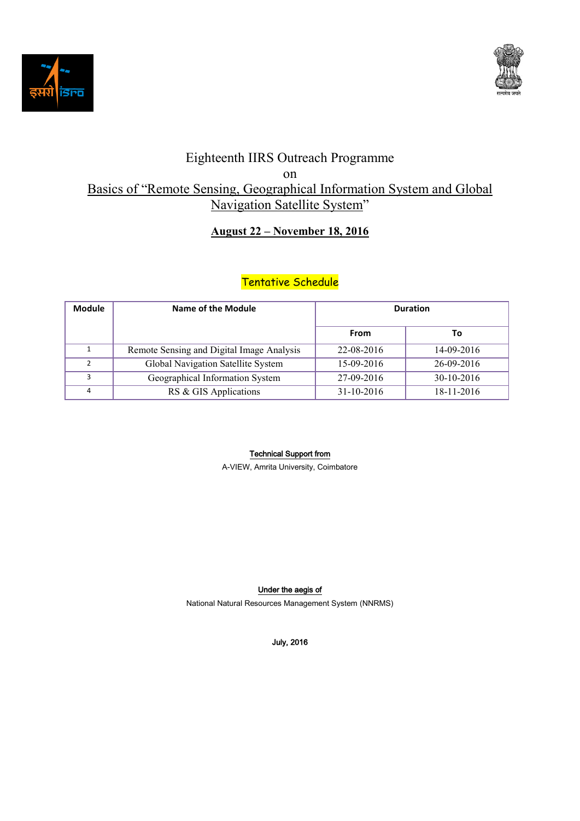



# Eighteenth IIRS Outreach Programme on Basics of "Remote Sensing, Geographical Information System and Global Navigation Satellite System"

### **August 22 – November 18, 2016**

## Tentative Schedule

| <b>Module</b> | <b>Name of the Module</b>                 | <b>Duration</b> |            |
|---------------|-------------------------------------------|-----------------|------------|
|               |                                           | <b>From</b>     | То         |
|               | Remote Sensing and Digital Image Analysis | 22-08-2016      | 14-09-2016 |
| $\mathcal{P}$ | Global Navigation Satellite System        | 15-09-2016      | 26-09-2016 |
| 3             | Geographical Information System           | 27-09-2016      | 30-10-2016 |
| 4             | RS & GIS Applications                     | 31-10-2016      | 18-11-2016 |

#### Technical Support from

A-VIEW, Amrita University, Coimbatore

### Under the aegis of

National Natural Resources Management System (NNRMS)

July, 2016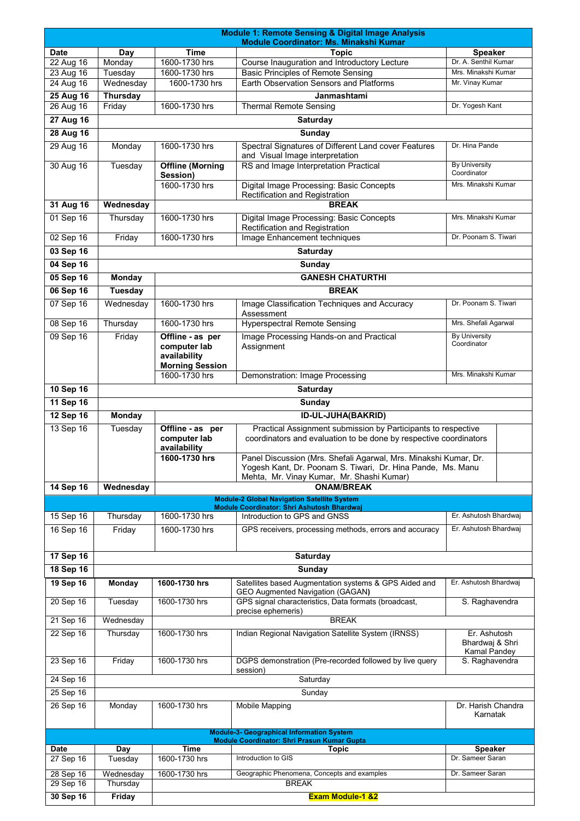|                                                  | <b>Module 1: Remote Sensing &amp; Digital Image Analysis</b><br>Module Coordinator: Ms. Minakshi Kumar |                                                        |                                                                                                                                                                              |                                     |  |  |  |
|--------------------------------------------------|--------------------------------------------------------------------------------------------------------|--------------------------------------------------------|------------------------------------------------------------------------------------------------------------------------------------------------------------------------------|-------------------------------------|--|--|--|
| <b>Date</b>                                      | Day                                                                                                    | <b>Time</b>                                            | <b>Topic</b>                                                                                                                                                                 | <b>Speaker</b>                      |  |  |  |
| 22 Aug 16                                        | Monday                                                                                                 | 1600-1730 hrs                                          | Course Inauguration and Introductory Lecture                                                                                                                                 | Dr. A. Senthil Kumar                |  |  |  |
| 23 Aug 16                                        | Tuesday                                                                                                | 1600-1730 hrs                                          | <b>Basic Principles of Remote Sensing</b>                                                                                                                                    | Mrs. Minakshi Kumar                 |  |  |  |
| 24 Aug 16                                        | Wednesday                                                                                              | 1600-1730 hrs                                          | Earth Observation Sensors and Platforms                                                                                                                                      | Mr. Vinay Kumar                     |  |  |  |
| 25 Aug 16                                        | <b>Thursday</b>                                                                                        | 1600-1730 hrs                                          | Janmashtami                                                                                                                                                                  | Dr. Yogesh Kant                     |  |  |  |
| 26 Aug 16                                        | Friday                                                                                                 |                                                        | <b>Thermal Remote Sensing</b>                                                                                                                                                |                                     |  |  |  |
| $27$ Aug 16                                      |                                                                                                        |                                                        | <b>Saturday</b>                                                                                                                                                              |                                     |  |  |  |
| <b>28 Aug 16</b>                                 |                                                                                                        |                                                        | Sunday                                                                                                                                                                       |                                     |  |  |  |
| 29 Aug 16                                        | Monday                                                                                                 | 1600-1730 hrs                                          | Spectral Signatures of Different Land cover Features<br>and Visual Image interpretation                                                                                      | Dr. Hina Pande                      |  |  |  |
| 30 Aug 16                                        | Tuesday                                                                                                | <b>Offline (Morning</b><br>Session)                    | RS and Image Interpretation Practical                                                                                                                                        | <b>By University</b><br>Coordinator |  |  |  |
|                                                  |                                                                                                        | 1600-1730 hrs                                          | Digital Image Processing: Basic Concepts<br>Rectification and Registration                                                                                                   | Mrs. Minakshi Kumar                 |  |  |  |
| 31 Aug 16                                        | Wednesday                                                                                              |                                                        | <b>BREAK</b>                                                                                                                                                                 |                                     |  |  |  |
| 01 Sep 16                                        | Thursday                                                                                               | 1600-1730 hrs                                          | Digital Image Processing: Basic Concepts<br>Rectification and Registration                                                                                                   | Mrs. Minakshi Kumar                 |  |  |  |
| 02 Sep 16                                        | Friday                                                                                                 | 1600-1730 hrs                                          | Image Enhancement techniques                                                                                                                                                 | Dr. Poonam S. Tiwari                |  |  |  |
| 03 Sep 16                                        |                                                                                                        |                                                        | <b>Saturday</b>                                                                                                                                                              |                                     |  |  |  |
| 04 Sep 16                                        |                                                                                                        |                                                        | Sunday                                                                                                                                                                       |                                     |  |  |  |
| 05 Sep 16                                        | <b>Monday</b>                                                                                          |                                                        | <b>GANESH CHATURTHI</b>                                                                                                                                                      |                                     |  |  |  |
| $06$ Sep 16                                      | <b>Tuesday</b>                                                                                         |                                                        | <b>BREAK</b>                                                                                                                                                                 |                                     |  |  |  |
| 07 Sep 16                                        | Wednesday                                                                                              | 1600-1730 hrs                                          | Image Classification Techniques and Accuracy                                                                                                                                 | Dr. Poonam S. Tiwari                |  |  |  |
| 08 Sep 16                                        | Thursday                                                                                               | 1600-1730 hrs                                          | Assessment<br><b>Hyperspectral Remote Sensing</b>                                                                                                                            | Mrs. Shefali Agarwal                |  |  |  |
| 09 Sep 16                                        | Friday                                                                                                 | Offline - as per                                       | Image Processing Hands-on and Practical                                                                                                                                      | <b>By University</b>                |  |  |  |
|                                                  |                                                                                                        | computer lab<br>availability<br><b>Morning Session</b> | Assignment                                                                                                                                                                   | Coordinator                         |  |  |  |
|                                                  |                                                                                                        | 1600-1730 hrs                                          | Demonstration: Image Processing                                                                                                                                              | Mrs. Minakshi Kumar                 |  |  |  |
| 10 Sep 16                                        |                                                                                                        |                                                        | <b>Saturday</b>                                                                                                                                                              |                                     |  |  |  |
| 11 Sep 16                                        |                                                                                                        |                                                        | <b>Sunday</b>                                                                                                                                                                |                                     |  |  |  |
| 12 Sep 16                                        | <b>Monday</b>                                                                                          |                                                        | <b>ID-UL-JUHA(BAKRID)</b>                                                                                                                                                    |                                     |  |  |  |
| 13 Sep 16                                        | Tuesday                                                                                                | Offline - as per<br>computer lab<br>availability       | Practical Assignment submission by Participants to respective<br>coordinators and evaluation to be done by respective coordinators                                           |                                     |  |  |  |
|                                                  |                                                                                                        | 1600-1730 hrs                                          | Panel Discussion (Mrs. Shefali Agarwal, Mrs. Minakshi Kumar, Dr.<br>Yogesh Kant, Dr. Poonam S. Tiwari, Dr. Hina Pande, Ms. Manu<br>Mehta, Mr. Vinay Kumar, Mr. Shashi Kumar) |                                     |  |  |  |
| 14 Sep 16                                        | Wednesday                                                                                              |                                                        | <b>ONAM/BREAK</b>                                                                                                                                                            |                                     |  |  |  |
|                                                  |                                                                                                        |                                                        | <b>Module-2 Global Navigation Satellite System</b><br><b>Module Coordinator: Shri Ashutosh Bhardwaj</b>                                                                      |                                     |  |  |  |
| 15 Sep 16                                        | Thursday                                                                                               | 1600-1730 hrs                                          | Introduction to GPS and GNSS                                                                                                                                                 | Er. Ashutosh Bhardwaj               |  |  |  |
| 16 Sep 16                                        | Friday                                                                                                 | 1600-1730 hrs                                          | GPS receivers, processing methods, errors and accuracy                                                                                                                       | Er. Ashutosh Bhardwaj               |  |  |  |
|                                                  |                                                                                                        |                                                        |                                                                                                                                                                              |                                     |  |  |  |
| 17 Sep 16                                        |                                                                                                        | <b>Saturday</b>                                        |                                                                                                                                                                              |                                     |  |  |  |
| 18 Sep 16                                        | <b>Sunday</b>                                                                                          |                                                        |                                                                                                                                                                              |                                     |  |  |  |
| 19 Sep 16                                        | Monday                                                                                                 | 1600-1730 hrs                                          | Satellites based Augmentation systems & GPS Aided and<br>GEO Augmented Navigation (GAGAN)                                                                                    | Er. Ashutosh Bhardwaj               |  |  |  |
| 20 Sep 16                                        | Tuesday                                                                                                | 1600-1730 hrs                                          | GPS signal characteristics, Data formats (broadcast,<br>precise ephemeris)                                                                                                   | S. Raghavendra                      |  |  |  |
| 21 Sep 16                                        | Wednesday                                                                                              |                                                        | <b>BREAK</b>                                                                                                                                                                 |                                     |  |  |  |
| 22 Sep 16                                        | Thursday                                                                                               | 1600-1730 hrs                                          | Indian Regional Navigation Satellite System (IRNSS)                                                                                                                          | Er. Ashutosh<br>Bhardwaj & Shri     |  |  |  |
| 23 Sep 16                                        | Friday                                                                                                 | 1600-1730 hrs                                          | DGPS demonstration (Pre-recorded followed by live query                                                                                                                      | Kamal Pandey<br>S. Raghavendra      |  |  |  |
| 24 Sep 16                                        |                                                                                                        |                                                        | session)<br>Saturday                                                                                                                                                         |                                     |  |  |  |
| 25 Sep 16                                        | Sunday                                                                                                 |                                                        |                                                                                                                                                                              |                                     |  |  |  |
| 26 Sep 16                                        | Monday                                                                                                 | 1600-1730 hrs                                          | Mobile Mapping                                                                                                                                                               | Dr. Harish Chandra<br>Karnatak      |  |  |  |
| <b>Module-3- Geographical Information System</b> |                                                                                                        |                                                        |                                                                                                                                                                              |                                     |  |  |  |
|                                                  |                                                                                                        |                                                        | <b>Module Coordinator: Shri Prasun Kumar Gupta</b>                                                                                                                           |                                     |  |  |  |
| <b>Date</b>                                      | Day                                                                                                    | <b>Time</b>                                            | <b>Topic</b><br>Introduction to GIS                                                                                                                                          | <b>Speaker</b><br>Dr. Sameer Saran  |  |  |  |
| 27 Sep 16                                        | Tuesday                                                                                                | 1600-1730 hrs                                          |                                                                                                                                                                              |                                     |  |  |  |
| 28 Sep 16                                        | Wednesday                                                                                              | 1600-1730 hrs                                          | Geographic Phenomena, Concepts and examples                                                                                                                                  | Dr. Sameer Saran                    |  |  |  |
| 29 Sep 16                                        | Thursday                                                                                               |                                                        | <b>BREAK</b>                                                                                                                                                                 |                                     |  |  |  |
| 30 Sep 16                                        | <b>Friday</b>                                                                                          |                                                        | <b>Exam Module-1 &amp;2</b>                                                                                                                                                  |                                     |  |  |  |